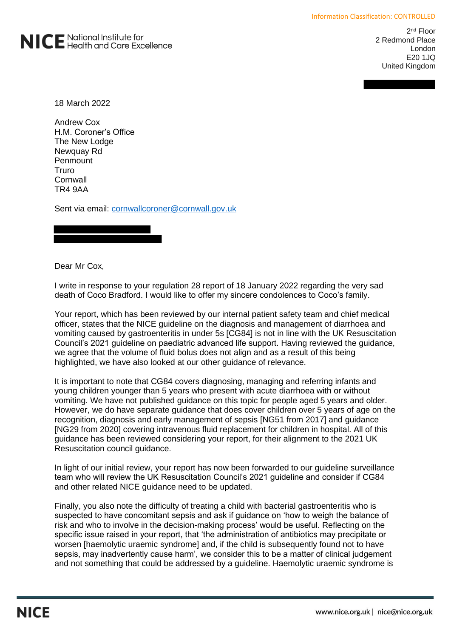

2<sup>nd</sup> Floor 2 Redmond Place London E20 1JQ United Kingdom

18 March 2022

Andrew Cox H.M. Coroner's Office The New Lodge Newquay Rd **Penmount** Truro **Cornwall** TR4 9AA

Sent via email: [cornwallcoroner@cornwall.gov.uk](mailto:cornwallcoroner@cornwall.gov.uk)

Dear Mr Cox,

I write in response to your regulation 28 report of 18 January 2022 regarding the very sad death of Coco Bradford. I would like to offer my sincere condolences to Coco's family.

Your report, which has been reviewed by our internal patient safety team and chief medical officer, states that the NICE guideline on the diagnosis and management of diarrhoea and vomiting caused by gastroenteritis in under 5s [CG84] is not in line with the UK Resuscitation Council's 2021 guideline on paediatric advanced life support. Having reviewed the guidance, we agree that the volume of fluid bolus does not align and as a result of this being highlighted, we have also looked at our other guidance of relevance.

It is important to note that CG84 covers diagnosing, managing and referring infants and young children younger than 5 years who present with acute diarrhoea with or without vomiting. We have not published guidance on this topic for people aged 5 years and older. However, we do have separate guidance that does cover children over 5 years of age on the recognition, diagnosis and early management of sepsis [NG51 from 2017] and guidance [NG29 from 2020] covering intravenous fluid replacement for children in hospital. All of this guidance has been reviewed considering your report, for their alignment to the 2021 UK Resuscitation council guidance.

In light of our initial review, your report has now been forwarded to our guideline surveillance team who will review the UK Resuscitation Council's 2021 guideline and consider if CG84 and other related NICE guidance need to be updated.

Finally, you also note the difficulty of treating a child with bacterial gastroenteritis who is suspected to have concomitant sepsis and ask if guidance on 'how to weigh the balance of risk and who to involve in the decision-making process' would be useful. Reflecting on the specific issue raised in your report, that 'the administration of antibiotics may precipitate or worsen [haemolytic uraemic syndrome] and, if the child is subsequently found not to have sepsis, may inadvertently cause harm', we consider this to be a matter of clinical judgement and not something that could be addressed by a guideline. Haemolytic uraemic syndrome is